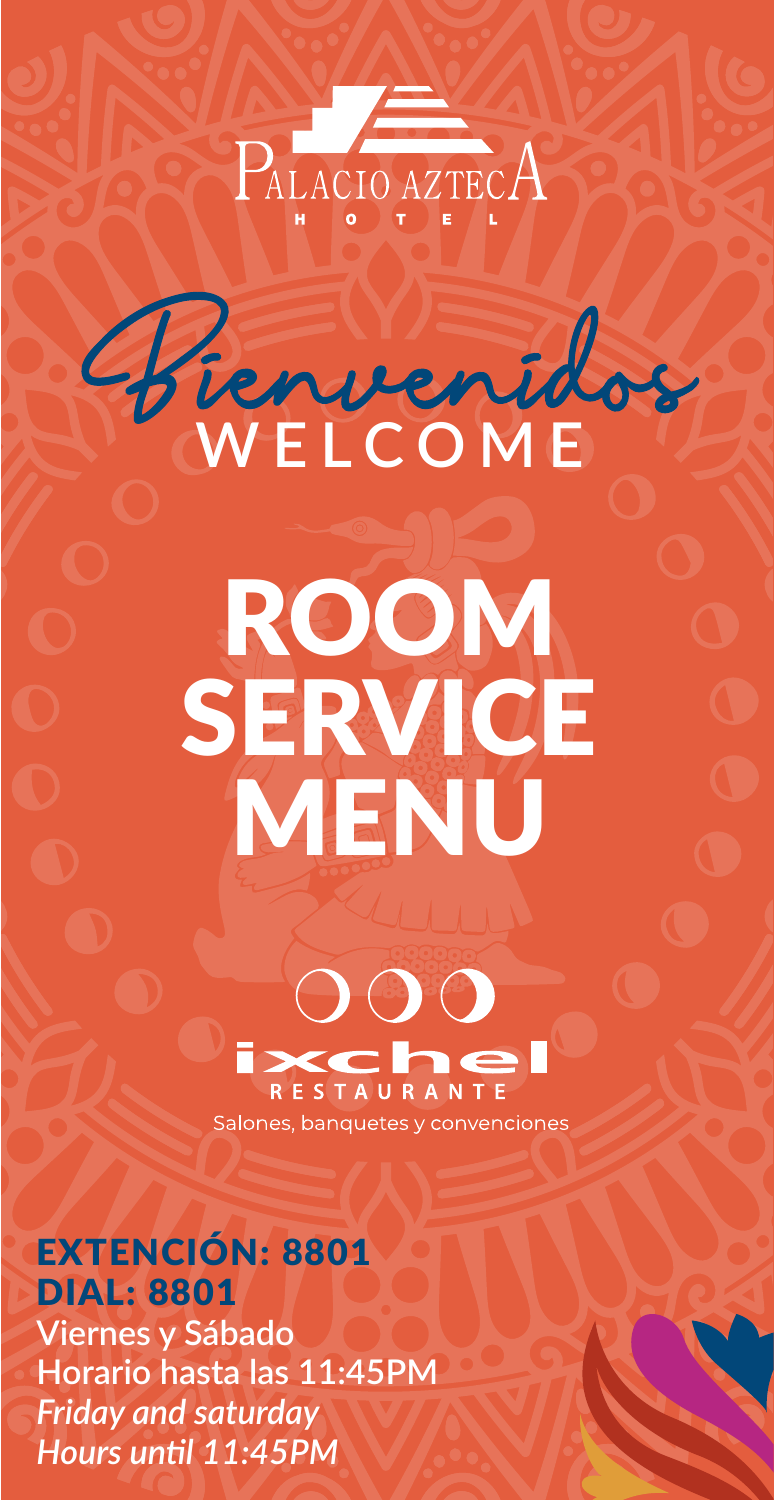

**WELCOME**

# ROOM SERVICE MENU



Salones, banquetes y convenciones

## EXTENCIÓN: 8801 DIAL: 8801

**Viernes y Sábado Horario hasta las 11:45PM** *Friday and saturday Hours until 11:45PM*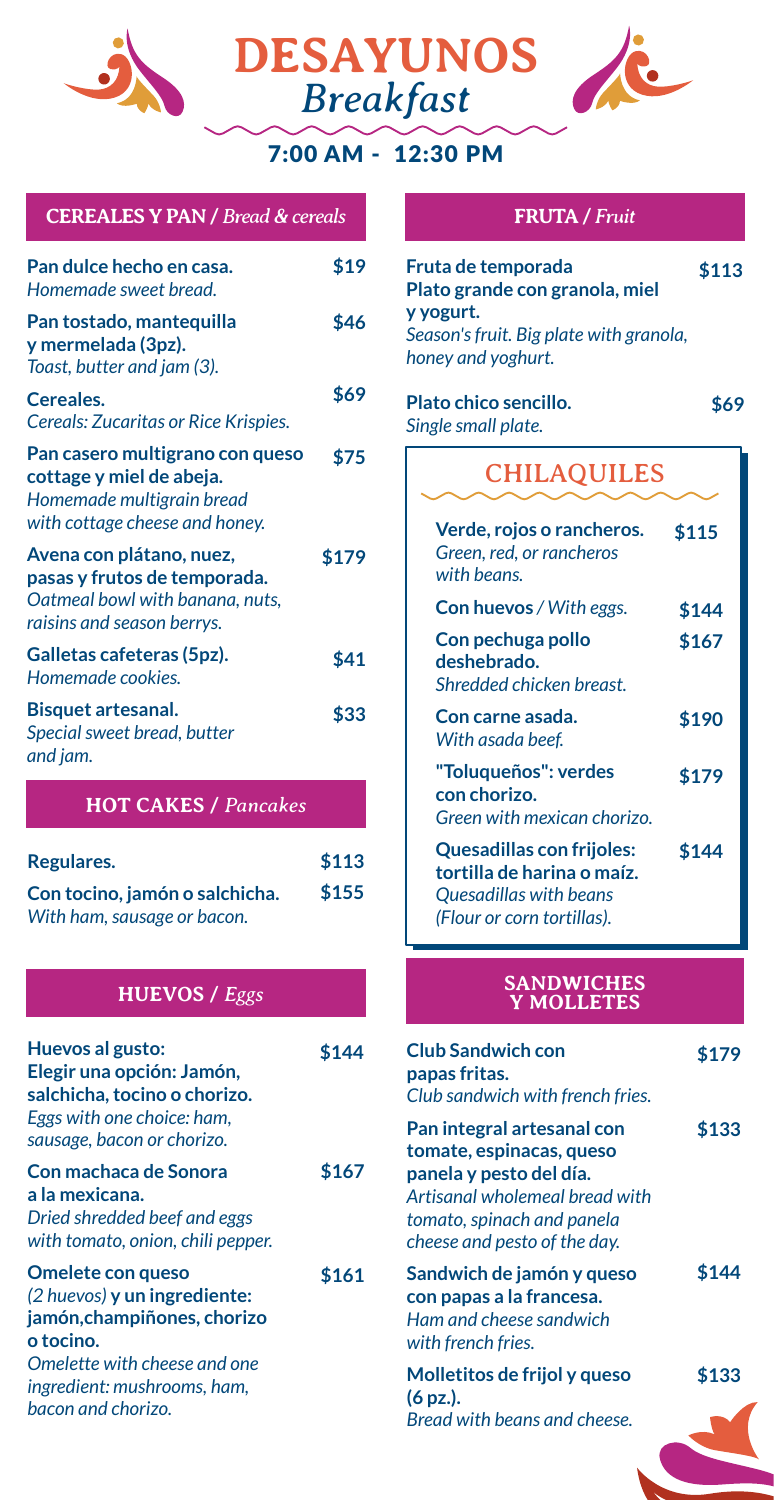





#### 7:00 AM - 12:30 PM

#### **CEREALES Y PAN /** *Bread & cereals* **FRUTA /** *Fruit*

| Pan dulce hecho en casa.<br>Homemade sweet bread.                                                                          | \$19  |
|----------------------------------------------------------------------------------------------------------------------------|-------|
| Pan tostado, mantequilla<br>y mermelada (3pz).<br>Toast, butter and jam (3).                                               | \$46  |
| Cereales.<br>Cereals: Zucaritas or Rice Krispies.                                                                          | \$69  |
| Pan casero multigrano con queso<br>cottage y miel de abeja.<br>Homemade multigrain bread<br>with cottage cheese and honey. | \$75  |
| Avena con plátano, nuez,<br>pasas y frutos de temporada.<br>Oatmeal bowl with banana, nuts,<br>raisins and season berrys.  | \$179 |
| Galletas cafeteras (5pz).<br>Homemade cookies.                                                                             | \$41  |
| <b>Bisquet artesanal.</b><br>Special sweet bread, butter<br>and jam.                                                       | \$33  |
| <b>HOT CAKES / Pancakes</b>                                                                                                |       |
| Regulares.                                                                                                                 | \$113 |

| <b>INGRUIDE CO.</b>            | ᆠᆠᅭ   |
|--------------------------------|-------|
| Con tocino, jamón o salchicha. | \$155 |
| With ham, sausage or bacon.    |       |

| Huevos al gusto:<br>Elegir una opción: Jamón,<br>salchicha, tocino o chorizo.<br>Eggs with one choice: ham,<br>sausage, bacon or chorizo.                                          | \$144 |
|------------------------------------------------------------------------------------------------------------------------------------------------------------------------------------|-------|
| Con machaca de Sonora<br>a la mexicana.<br>Dried shredded beef and eggs<br>with tomato, onion, chili pepper.                                                                       | \$167 |
| Omelete con queso<br>(2 huevos) y un ingrediente:<br>jamón, champiñones, chorizo<br>o tocino.<br>Omelette with cheese and one<br>ingredient: mushrooms, ham,<br>bacon and chorizo. | \$161 |

| Fruta de temporada<br>Plato grande con granola, miel<br>y yogurt.<br>Season's fruit. Big plate with granola,<br>honey and yoghurt. | \$113 |
|------------------------------------------------------------------------------------------------------------------------------------|-------|
| Plato chico sencillo.<br>Single small plate.                                                                                       | \$69  |
| <b>CHILAQUILES</b>                                                                                                                 |       |
| Verde, rojos o rancheros.<br>Green, red, or rancheros<br>with beans.                                                               | \$115 |
| <b>Con huevos</b> / With eggs.                                                                                                     | \$144 |
| Con pechuga pollo<br>deshebrado.<br>Shredded chicken breast.                                                                       | \$167 |
| Con carne asada.<br>With asada beef.                                                                                               | \$190 |
| "Toluqueños": verdes<br>con chorizo.<br>Green with mexican chorizo.                                                                | \$179 |
| Quesadillas con frijoles:<br>tortilla de harina o maíz.<br>Quesadillas with beans                                                  | \$144 |

## **HUEVOS /** *Eggs* **SANDWICHES Y MOLLETES**

*(Flour or corn tortillas).*

| <b>Club Sandwich con</b><br>papas fritas.<br>Club sandwich with french fries.                                                                                                     | \$179 |
|-----------------------------------------------------------------------------------------------------------------------------------------------------------------------------------|-------|
| Pan integral artesanal con<br>tomate, espinacas, queso<br>panela y pesto del día.<br>Artisanal wholemeal bread with<br>tomato, spinach and panela<br>cheese and pesto of the day. | \$133 |
| Sandwich de jamón y queso<br>con papas a la francesa.<br>Ham and cheese sandwich<br>with french fries.                                                                            | \$144 |
| Molletitos de frijol y queso                                                                                                                                                      | \$133 |
| (6 pz.).<br>Bread with beans and cheese.                                                                                                                                          |       |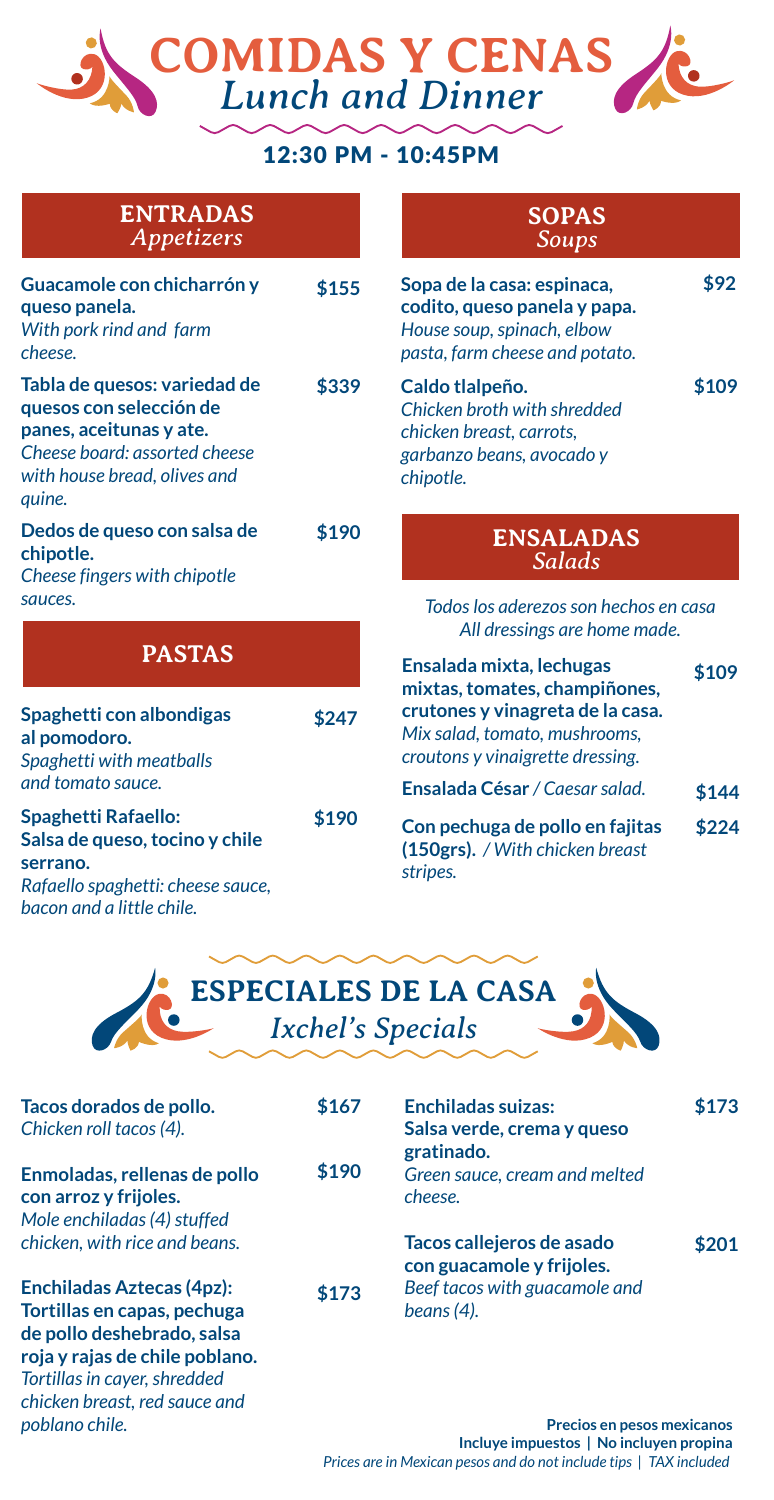## **COMIDAS Y CENAS** *Lunch and Dinner*

#### 12:30 PM - 10:45PM

**ENTRADAS** *Appetizers*

| Guacamole con chicharrón y<br>queso panela.<br>With pork rind and farm<br>cheese.                                                                             | \$155 |
|---------------------------------------------------------------------------------------------------------------------------------------------------------------|-------|
| Tabla de quesos: variedad de<br>quesos con selección de<br>panes, aceitunas y ate.<br>Cheese board: assorted cheese<br>with house bread, olives and<br>quine. | \$339 |
| Dedos de queso con salsa de<br>chipotle.<br>Cheese fingers with chipotle<br>sauces.                                                                           | \$190 |
| <b>PASTAS</b>                                                                                                                                                 |       |
| Spaghetti con albondigas<br>al pomodoro.<br>Spaghetti with meatballs<br>and tomato sauce.                                                                     | \$247 |

**\$190 Spaghetti Rafaello: Salsa de queso, tocino y chile serrano.** *Rafaello spaghetti: cheese sauce, bacon and a little chile.*

*chicken breast, red sauce and* 

*poblano chile.*

**SOPAS** *Soups*

| Sopa de la casa: espinaca,<br>codito, queso panela y papa.<br>House soup, spinach, elbow<br>pasta, farm cheese and potato. |       |
|----------------------------------------------------------------------------------------------------------------------------|-------|
| Caldo tlalpeño.<br>Chicken broth with shredded<br>chicken breast, carrots,<br>garbanzo beans, avocado y<br>chipotle.       | \$109 |

#### **ENSALADAS** *Salads*

*Todos los aderezos son hechos en casa All dressings are home made.*

| 47 | Ensalada mixta, lechugas<br>mixtas, tomates, champiñones,<br>crutones y vinagreta de la casa.<br>Mix salad, tomato, mushrooms,<br>croutons y vinaigrette dressing. | \$109 |
|----|--------------------------------------------------------------------------------------------------------------------------------------------------------------------|-------|
|    | <b>Ensalada César</b> / Caesar salad.                                                                                                                              | \$144 |
| 90 | Con pechuga de pollo en fajitas<br>(150grs). / With chicken breast<br>stripes.                                                                                     | \$224 |



| Tacos dorados de pollo.<br>Chicken roll tacos (4).                                            | \$167 | <b>Enchiladas suizas:</b><br>Salsa verde, crema y queso | \$173 |
|-----------------------------------------------------------------------------------------------|-------|---------------------------------------------------------|-------|
|                                                                                               |       | gratinado.                                              |       |
| Enmoladas, rellenas de pollo<br>con arroz y frijoles.                                         | \$190 | Green sauce, cream and melted<br>cheese.                |       |
| Mole enchiladas (4) stuffed                                                                   |       |                                                         |       |
| chicken, with rice and beans.                                                                 |       | Tacos callejeros de asado<br>con guacamole y frijoles.  | \$201 |
| <b>Enchiladas Aztecas (4pz):</b><br>Tortillas en capas, pechuga<br>de pollo deshebrado, salsa | \$173 | Beef tacos with guacamole and<br>beans $(4)$ .          |       |
| roja y rajas de chile poblano.<br>Tortillas in cayer, shredded                                |       |                                                         |       |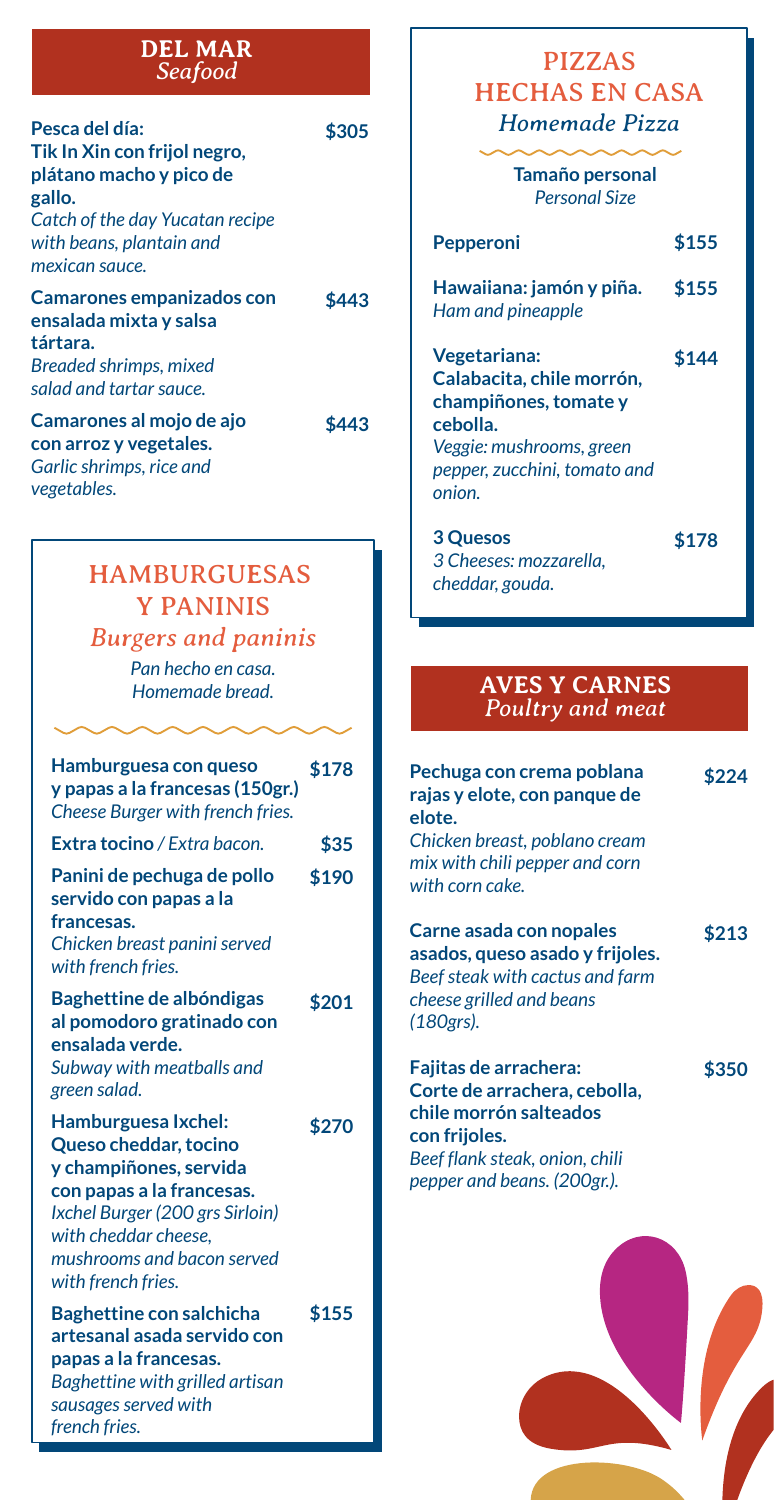#### **DEL MAR** *Seafood*

| Pesca del día:<br>Tik In Xin con frijol negro,<br>plátano macho y pico de<br>gallo.<br>Catch of the day Yucatan recipe<br>with beans, plantain and<br>mexican sauce. | \$305 |
|----------------------------------------------------------------------------------------------------------------------------------------------------------------------|-------|
| Camarones empanizados con<br>ensalada mixta y salsa<br>tártara.<br>Breaded shrimps, mixed<br>salad and tartar sauce.                                                 | \$443 |
| Camarones al mojo de ajo<br>con arroz y vegetales.<br>Garlic shrimps, rice and<br>vegetables.                                                                        | \$443 |

## HAMBURGUESAS Y PANINIS

## *Burgers and paninis*

*Pan hecho en casa.*

| Hamburguesa con queso<br>y papas a la francesas (150gr.)<br>Cheese Burger with french fries.                                                                                                                       | \$178 |
|--------------------------------------------------------------------------------------------------------------------------------------------------------------------------------------------------------------------|-------|
| <b>Extra tocino</b> / Extra bacon.                                                                                                                                                                                 | \$35  |
| Panini de pechuga de pollo<br>servido con papas a la<br>francesas.<br>Chicken breast panini served<br>with french fries.                                                                                           | \$190 |
| Baghettine de albóndigas<br>al pomodoro gratinado con<br>ensalada verde.<br>Subway with meatballs and<br>green salad.                                                                                              | \$201 |
| Hamburguesa Ixchel:<br>Queso cheddar, tocino<br>y champiñones, servida<br>con papas a la francesas.<br>Ixchel Burger (200 grs Sirloin)<br>with cheddar cheese.<br>mushrooms and bacon served<br>with french fries. | \$270 |
| <b>Baghettine con salchicha</b><br>artesanal asada servido con<br>papas a la francesas.<br>Baghettine with grilled artisan<br>sausages served with<br>french fries.                                                | \$155 |

#### PIZZAS HECHAS EN CASA *Homemade Pizza*

**Tamaño personal** *Personal Size*

| <b>Pepperoni</b>                                                                                                                                     | \$155 |
|------------------------------------------------------------------------------------------------------------------------------------------------------|-------|
| Hawaiiana: jamón y piña.<br>Ham and pineapple                                                                                                        | \$155 |
| Vegetariana:<br>Calabacita, chile morrón,<br>champiñones, tomate y<br>cebolla.<br>Veggie: mushrooms, green<br>pepper, zucchini, tomato and<br>onion. | \$144 |
| <b>3 Quesos</b><br>3 Cheeses: mozzarella,<br>cheddar, gouda.                                                                                         | \$178 |

#### *Homemade bread.* **AVES Y CARNES** *Poultry and meat*

| Pechuga con crema poblana<br>rajas y elote, con panque de<br>elote.<br>Chicken breast, poblano cream                                                              | \$224 |
|-------------------------------------------------------------------------------------------------------------------------------------------------------------------|-------|
| mix with chili pepper and corn<br>with corn cake.                                                                                                                 |       |
| Carne asada con nopales<br>asados, queso asado y frijoles.<br>Beef steak with cactus and farm<br>cheese grilled and beans<br>(180grs).                            | \$213 |
| Fajitas de arrachera:<br>Corte de arrachera, cebolla,<br>chile morrón salteados<br>con frijoles.<br>Beef flank steak, onion, chili<br>pepper and beans. (200gr.). | \$350 |

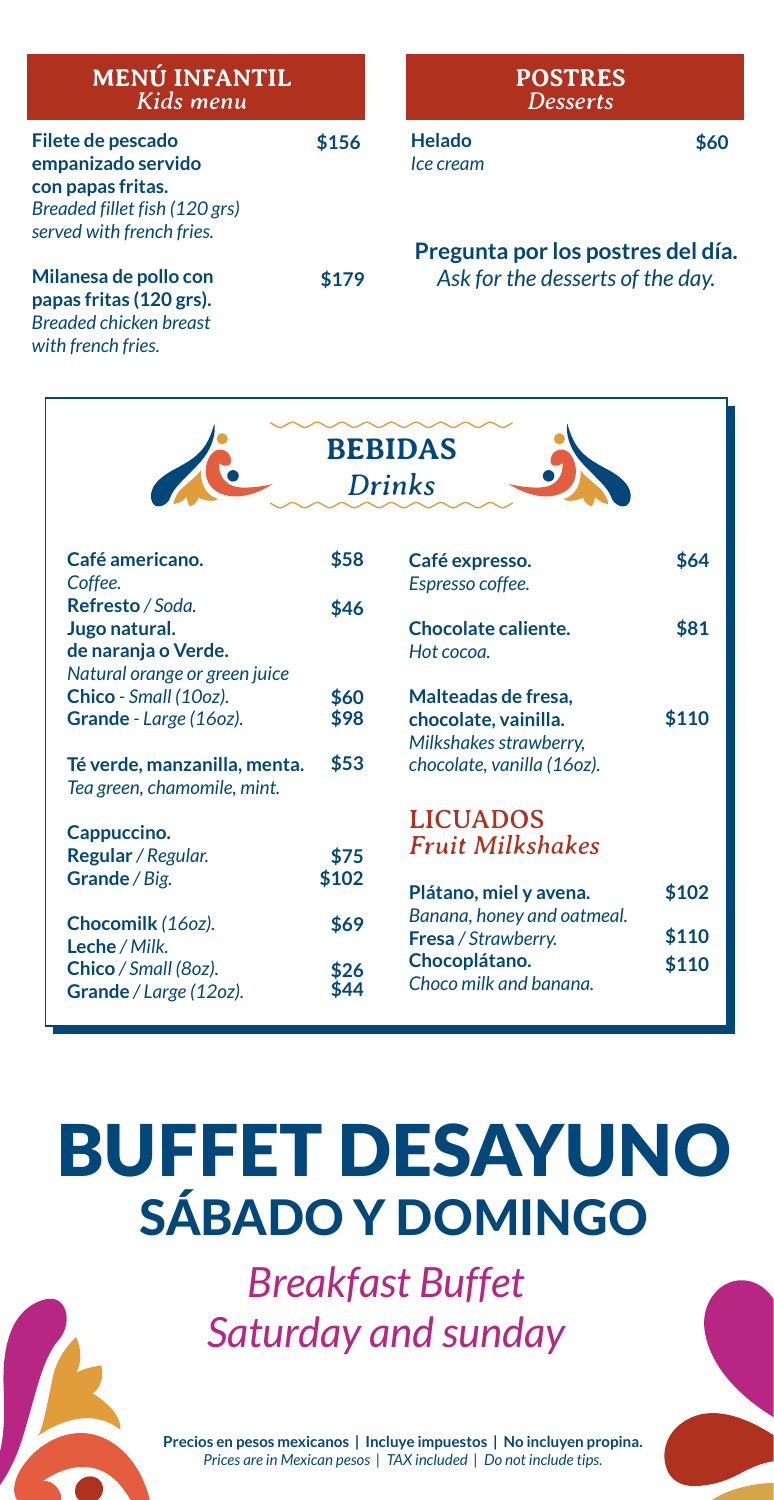| <b>MENÚ INFANTIL</b><br>Kids menu                                                                                          |       | <b>POSTRES</b><br><b>Desserts</b>                                     |      |
|----------------------------------------------------------------------------------------------------------------------------|-------|-----------------------------------------------------------------------|------|
| Filete de pescado<br>empanizado servido<br>con papas fritas.<br>Breaded fillet fish (120 grs)<br>served with french fries. | \$156 | Helado<br>Ice cream                                                   | \$60 |
| Milanesa de pollo con<br>papas fritas (120 grs).<br><b>Breaded chicken breast</b>                                          | \$179 | Pregunta por los postres del día.<br>Ask for the desserts of the day. |      |

*with french fries.*

|                                                                                           | <b>BEBIDAS</b><br><b>Drinks</b> |                                                                                                     |                |
|-------------------------------------------------------------------------------------------|---------------------------------|-----------------------------------------------------------------------------------------------------|----------------|
| Café americano.<br>Coffee.                                                                | \$58                            | Café expresso.<br>Espresso coffee.                                                                  | \$64           |
| Refresto / Soda.<br>Jugo natural.<br>de naranja o Verde.<br>Natural orange or green juice | \$46                            | Chocolate caliente.<br>Hot cocoa.                                                                   | \$81           |
| Chico - Small (10oz).<br>Grande - Large (160z).<br>Té verde, manzanilla, menta.           | \$60<br>\$98<br>\$53            | Malteadas de fresa,<br>chocolate, vainilla.<br>Milkshakes strawberry,<br>chocolate, vanilla (16oz). | \$110          |
| Tea green, chamomile, mint.<br>Cappuccino.                                                |                                 | <b>LICUADOS</b>                                                                                     |                |
| Regular / Regular.<br>Grande / Big.                                                       | \$75<br>\$102                   | <b>Fruit Milkshakes</b><br>Plátano, miel y avena.                                                   | \$102          |
| Chocomilk (160z).<br>Leche / Milk.<br>Chico / Small (80z).<br>Grande / Large (12oz).      | \$69<br>\$26<br>\$44            | Banana, honey and oatmeal.<br>Fresa / Strawberry.<br>Chocoplátano.<br>Choco milk and banana.        | \$110<br>\$110 |

# BUFFET DESAYUNO SÁBADO Y DOMINGO

*Breakfast Buffet Saturday and sunday*

**Precios en pesos mexicanos | Incluye impuestos | No incluyen propina.** *Prices are in Mexican pesos | TAX included | Do not include tips.*